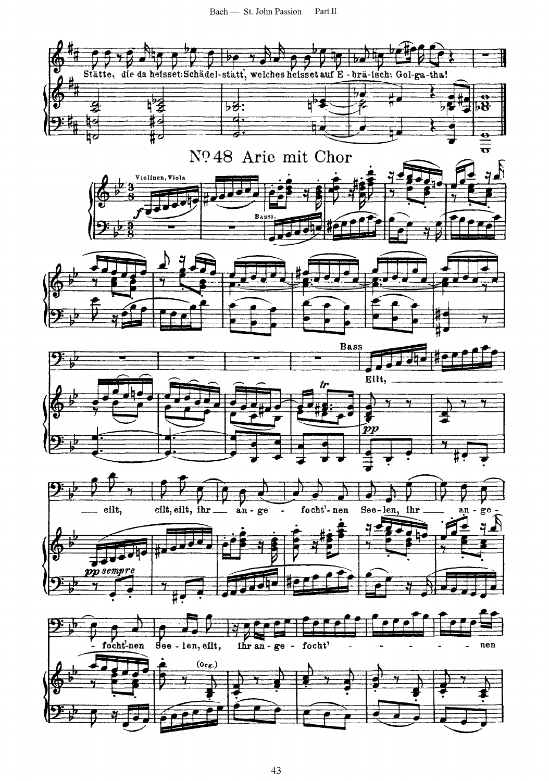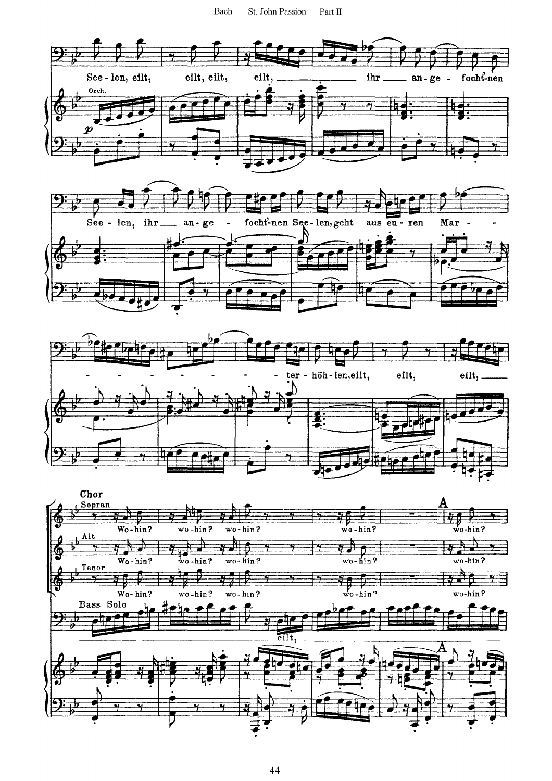





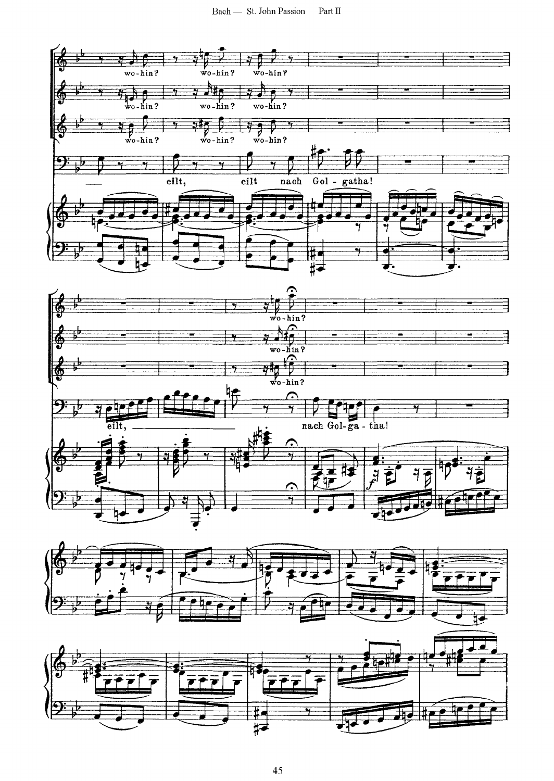



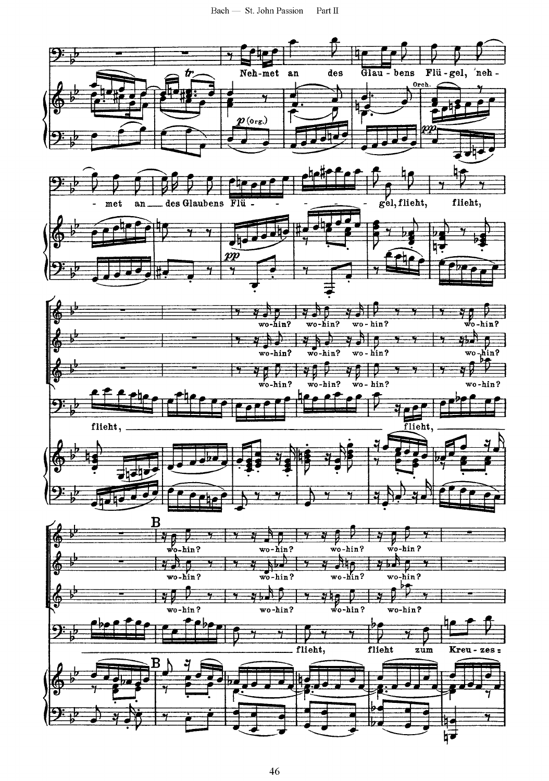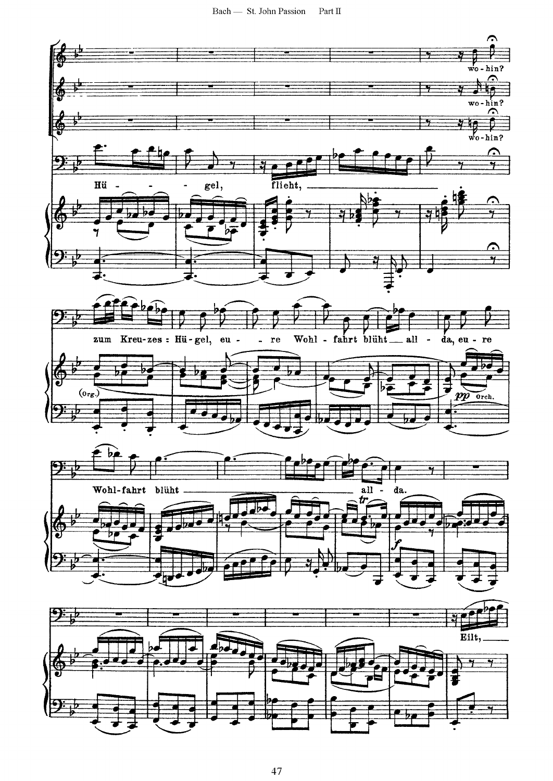$\mbox{Bach} \longrightarrow \mbox{St.}$  John Passion Part  $\Pi$ 

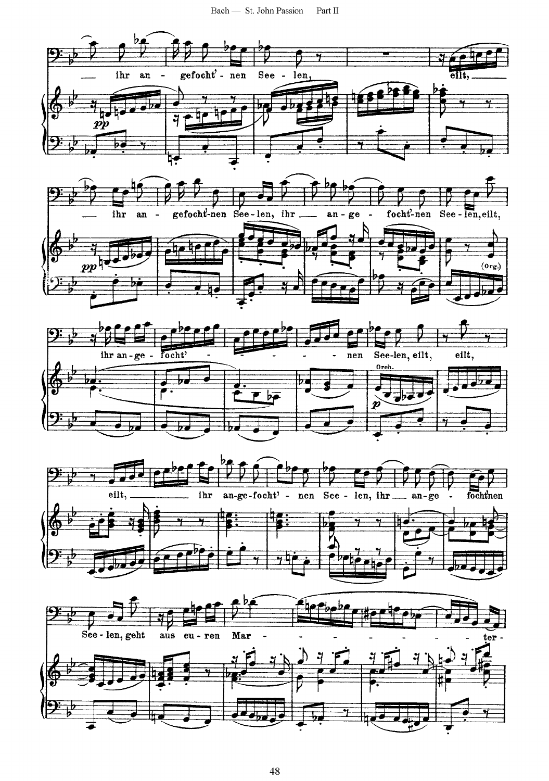Bach - St. John Passion Part  $\Pi$ 



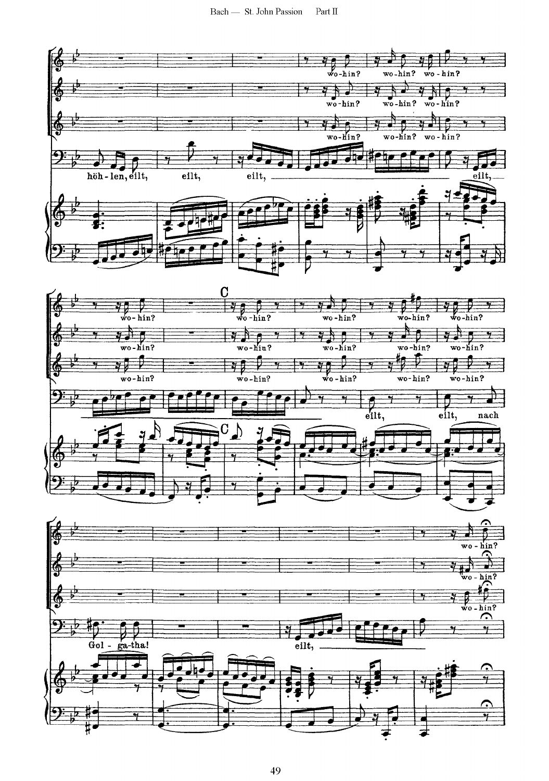